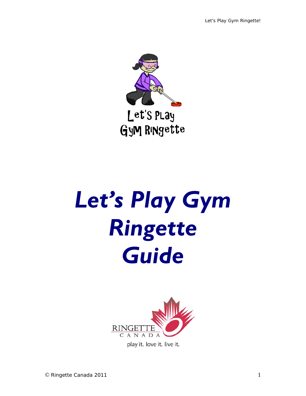*Let's Play Gym Ringette!* 



# *Let's Play Gym Ringette Guide*



play it. love it. live it.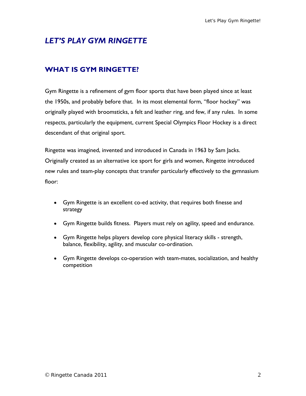# *LET'S PLAY GYM RINGETTE*

## **WHAT IS GYM RINGETTE?**

Gym Ringette is a refinement of gym floor sports that have been played since at least the 1950s, and probably before that. In its most elemental form, "floor hockey" was originally played with broomsticks, a felt and leather ring, and few, if any rules. In some respects, particularly the equipment, current Special Olympics Floor Hockey is a direct descendant of that original sport.

Ringette was imagined, invented and introduced in Canada in 1963 by Sam Jacks. Originally created as an alternative ice sport for girls and women, Ringette introduced new rules and team-play concepts that transfer particularly effectively to the gymnasium floor:

- Gym Ringette is an excellent co-ed activity, that requires both finesse and strategy
- Gym Ringette builds fitness. Players must rely on agility, speed and endurance.
- Gym Ringette helps players develop core physical literacy skills strength, balance, flexibility, agility, and muscular co-ordination.
- Gym Ringette develops co-operation with team-mates, socialization, and healthy competition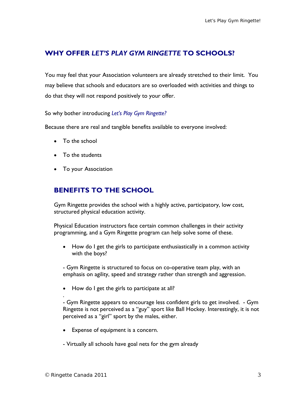# **WHY OFFER** *LET'S PLAY GYM RINGETTE* **TO SCHOOLS?**

You may feel that your Association volunteers are already stretched to their limit. You may believe that schools and educators are so overloaded with activities and things to do that they will not respond positively to your offer.

So why bother introducing *Let's Play Gym Ringette?*

Because there are real and tangible benefits available to everyone involved:

- To the school
- To the students
- To your Association

## **BENEFITS TO THE SCHOOL**

Gym Ringette provides the school with a highly active, participatory, low cost, structured physical education activity.

Physical Education instructors face certain common challenges in their activity programming, and a Gym Ringette program can help solve some of these.

• How do I get the girls to participate enthusiastically in a common activity with the boys?

- Gym Ringette is structured to focus on co-operative team play, with an emphasis on agility, speed and strategy rather than strength and aggression.

• How do I get the girls to participate at all?

- Gym Ringette appears to encourage less confident girls to get involved. - Gym Ringette is not perceived as a "guy" sport like Ball Hockey. Interestingly, it is not perceived as a "girl" sport by the males, either.

• Expense of equipment is a concern.

- Virtually all schools have goal nets for the gym already

.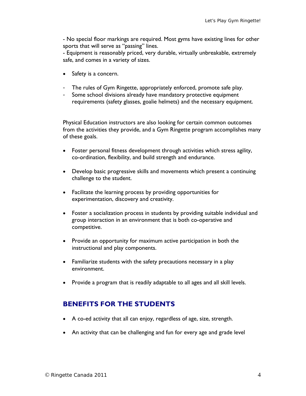- No special floor markings are required. Most gyms have existing lines for other sports that will serve as "passing" lines.

- Equipment is reasonably priced, very durable, virtually unbreakable, extremely safe, and comes in a variety of sizes.

- Safety is a concern.
- The rules of Gym Ringette, appropriately enforced, promote safe play.
- Some school divisions already have mandatory protective equipment requirements (safety glasses, goalie helmets) and the necessary equipment.

Physical Education instructors are also looking for certain common outcomes from the activities they provide, and a Gym Ringette program accomplishes many of these goals.

- Foster personal fitness development through activities which stress agility, co-ordination, flexibility, and build strength and endurance.
- Develop basic progressive skills and movements which present a continuing challenge to the student.
- Facilitate the learning process by providing opportunities for experimentation, discovery and creativity.
- Foster a socialization process in students by providing suitable individual and group interaction in an environment that is both co-operative and competitive.
- Provide an opportunity for maximum active participation in both the instructional and play components.
- Familiarize students with the safety precautions necessary in a play environment.
- Provide a program that is readily adaptable to all ages and all skill levels.

## **BENEFITS FOR THE STUDENTS**

- A co-ed activity that all can enjoy, regardless of age, size, strength.
- An activity that can be challenging and fun for every age and grade level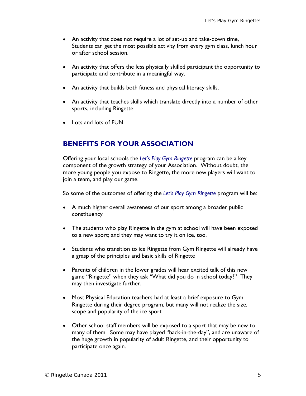- An activity that does not require a lot of set-up and take-down time, Students can get the most possible activity from every gym class, lunch hour or after school session.
- An activity that offers the less physically skilled participant the opportunity to participate and contribute in a meaningful way.
- An activity that builds both fitness and physical literacy skills.
- An activity that teaches skills which translate directly into a number of other sports, including Ringette.
- Lots and lots of FUN.

## **BENEFITS FOR YOUR ASSOCIATION**

Offering your local schools the *Let's Play Gym Ringette* program can be a key component of the growth strategy of your Association. Without doubt, the more young people you expose to Ringette, the more new players will want to join a team, and play our game.

So some of the outcomes of offering the *Let's Play Gym Ringette* program will be:

- A much higher overall awareness of our sport among a broader public constituency
- The students who play Ringette in the gym at school will have been exposed to a new sport; and they may want to try it on ice, too.
- Students who transition to ice Ringette from Gym Ringette will already have a grasp of the principles and basic skills of Ringette
- Parents of children in the lower grades will hear excited talk of this new game "Ringette" when they ask "What did you do in school today?" They may then investigate further.
- Most Physical Education teachers had at least a brief exposure to Gym Ringette during their degree program, but many will not realize the size, scope and popularity of the ice sport
- Other school staff members will be exposed to a sport that may be new to many of them. Some may have played "back-in-the-day", and are unaware of the huge growth in popularity of adult Ringette, and their opportunity to participate once again.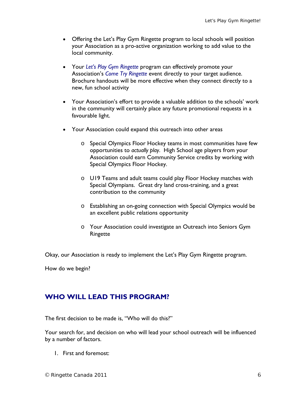- Offering the Let's Play Gym Ringette program to local schools will position your Association as a pro-active organization working to add value to the local community.
- Your *Let's Play Gym Ringette* program can effectively promote your Association's *Come Try Ringette* event directly to your target audience. Brochure handouts will be more effective when they connect directly to a new, fun school activity
- Your Association's effort to provide a valuable addition to the schools' work in the community will certainly place any future promotional requests in a favourable light.
- Your Association could expand this outreach into other areas
	- o Special Olympics Floor Hockey teams in most communities have few opportunities to *actually play*. High School age players from your Association could earn Community Service credits by working with Special Olympics Floor Hockey.
	- o U19 Teams and adult teams could play Floor Hockey matches with Special Olympians. Great dry land cross-training, and a great contribution to the community
	- o Establishing an on-going connection with Special Olympics would be an excellent public relations opportunity
	- o Your Association could investigate an Outreach into Seniors Gym Ringette

Okay, our Association is ready to implement the Let's Play Gym Ringette program.

How do we begin?

## **WHO WILL LEAD THIS PROGRAM?**

The first decision to be made is, "Who will do this?"

Your search for, and decision on who will lead your school outreach will be influenced by a number of factors.

1. First and foremost: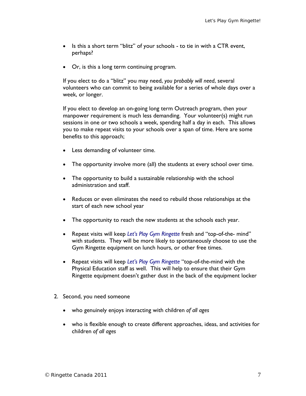- Is this a short term "blitz" of your schools to tie in with a CTR event, perhaps?
- Or, is this a long term continuing program.

If you elect to do a "blitz" you may need, *you probably will need*, several volunteers who can commit to being available for a series of whole days over a week, or longer.

If you elect to develop an on-going long term Outreach program, then your manpower requirement is much less demanding. Your volunteer(s) might run sessions in one or two schools a week, spending half a day in each. This allows you to make repeat visits to your schools over a span of time. Here are some benefits to this approach;

- Less demanding of volunteer time.
- The opportunity involve more (all) the students at every school over time.
- The opportunity to build a sustainable relationship with the school administration and staff.
- Reduces or even eliminates the need to rebuild those relationships at the start of each new school year
- The opportunity to reach the new students at the schools each year.
- Repeat visits will keep *Let's Play Gym Ringette* fresh and "top-of-the- mind" with students. They will be more likely to spontaneously choose to use the Gym Ringette equipment on lunch hours, or other free times.
- Repeat visits will keep *Let's Play Gym Ringette* "top-of-the-mind with the Physical Education staff as well. This will help to ensure that their Gym Ringette equipment doesn't gather dust in the back of the equipment locker
- 2. Second, you need someone
	- who genuinely enjoys interacting with children *of all ages*
	- who is flexible enough to create different approaches, ideas, and activities for children *of all ages*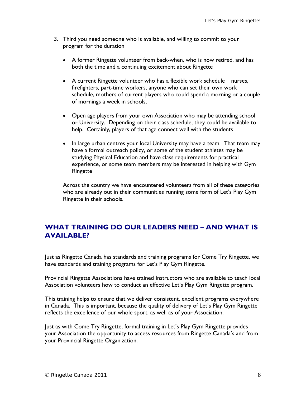- 3. Third you need someone who is available, and willing to commit to your program for the duration
	- A former Ringette volunteer from back-when, who is now retired, and has both the time and a continuing excitement about Ringette
	- A current Ringette volunteer who has a flexible work schedule nurses, firefighters, part-time workers, anyone who can set their own work schedule, mothers of current players who could spend a morning or a couple of mornings a week in schools,
	- Open age players from your own Association who may be attending school or University. Depending on their class schedule, they could be available to help. Certainly, players of that age connect well with the students
	- In large urban centres your local University may have a team. That team may have a formal outreach policy, or some of the student athletes may be studying Physical Education and have class requirements for practical experience, or some team members may be interested in helping with Gym Ringette

Across the country we have encountered volunteers from all of these categories who are already out in their communities running some form of Let's Play Gym Ringette in their schools.

## **WHAT TRAINING DO OUR LEADERS NEED – AND WHAT IS AVAILABLE?**

Just as Ringette Canada has standards and training programs for Come Try Ringette, we have standards and training programs for Let's Play Gym Ringette.

Provincial Ringette Associations have trained Instructors who are available to teach local Association volunteers how to conduct an effective Let's Play Gym Ringette program.

This training helps to ensure that we deliver consistent, excellent programs everywhere in Canada. This is important, because the quality of delivery of Let's Play Gym Ringette reflects the excellence of our whole sport, as well as of your Association.

Just as with Come Try Ringette, formal training in Let's Play Gym Ringette provides your Association the opportunity to access resources from Ringette Canada's and from your Provincial Ringette Organization.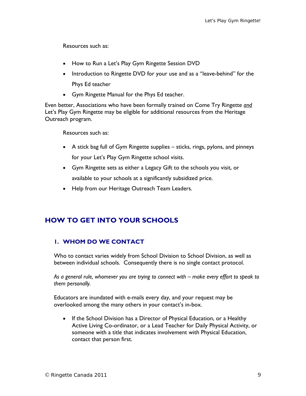Resources such as:

- How to Run a Let's Play Gym Ringette Session DVD
- Introduction to Ringette DVD for your use and as a "leave-behind" for the Phys Ed teacher
- Gym Ringette Manual for the Phys Ed teacher.

Even better, Associations who have been formally trained on Come Try Ringette *and*  Let's Play Gym Ringette may be eligible for additional resources from the Heritage Outreach program.

Resources such as:

- A stick bag full of Gym Ringette supplies sticks, rings, pylons, and pinneys for your Let's Play Gym Ringette school visits.
- Gym Ringette sets as either a Legacy Gift to the schools you visit, or available to your schools at a significantly subsidized price.
- Help from our Heritage Outreach Team Leaders.

# **HOW TO GET INTO YOUR SCHOOLS**

## **1. WHOM DO WE CONTACT**

Who to contact varies widely from School Division to School Division, as well as between individual schools. Consequently there is no single contact protocol.

*As a general rule, whomever you are trying to connect with – make every effort to speak to them personally.* 

Educators are inundated with e-mails every day, and your request may be overlooked among the many others in your contact's in-box.

• If the School Division has a Director of Physical Education, or a Healthy Active Living Co-ordinator, or a Lead Teacher for Daily Physical Activity, or someone with a title that indicates involvement with Physical Education, contact that person first.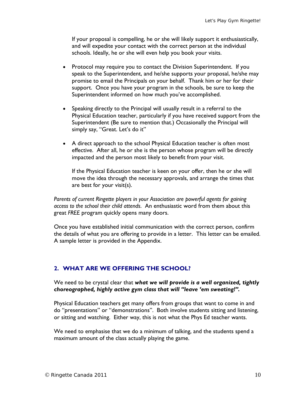If your proposal is compelling, he or she will likely support it enthusiastically, and will expedite your contact with the correct person at the individual schools. Ideally, he or she will even help you book your visits.

- Protocol may require you to contact the Division Superintendent. If you speak to the Superintendent, and he/she supports your proposal, he/she may promise to email the Principals on your behalf. Thank him or her for their support. Once you have your program in the schools, be sure to keep the Superintendent informed on how much you've accomplished.
- Speaking directly to the Principal will usually result in a referral to the Physical Education teacher, particularly if you have received support from the Superintendent (Be sure to mention that.) Occasionally the Principal will simply say, "Great. Let's do it"
- A direct approach to the school Physical Education teacher is often most effective. After all, he or she is the person whose program will be directly impacted and the person most likely to benefit from your visit.

If the Physical Education teacher is keen on your offer, then he or she will move the idea through the necessary approvals, and arrange the times that are best for your visit(s).

*Parents of current Ringette players in your Association are powerful agents for gaining access to the school their child attends*. An enthusiastic word from them about this great *FREE* program quickly opens many doors.

Once you have established initial communication with the correct person, confirm the details of what you are offering to provide in a letter. This letter can be emailed. A sample letter is provided in the Appendix.

## **2. WHAT ARE WE OFFERING THE SCHOOL?**

We need to be crystal clear that *what we will provide is a well organized, tightly choreographed, highly active gym class that will "leave 'em sweating!".*

Physical Education teachers get many offers from groups that want to come in and do "presentations" or "demonstrations". Both involve students sitting and listening, or sitting and watching. Either way, this is not what the Phys Ed teacher wants.

We need to emphasise that we do a minimum of talking, and the students spend a maximum amount of the class actually playing the game.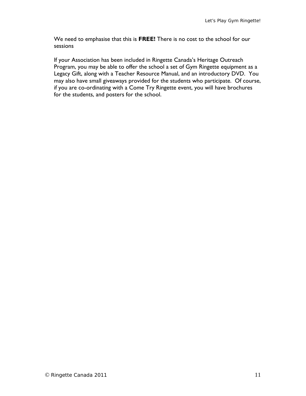We need to emphasise that this is **FREE!** There is no cost to the school for our sessions

If your Association has been included in Ringette Canada's Heritage Outreach Program, you may be able to offer the school a set of Gym Ringette equipment as a Legacy Gift, along with a Teacher Resource Manual, and an introductory DVD. You may also have small giveaways provided for the students who participate. Of course, if you are co-ordinating with a Come Try Ringette event, you will have brochures for the students, and posters for the school.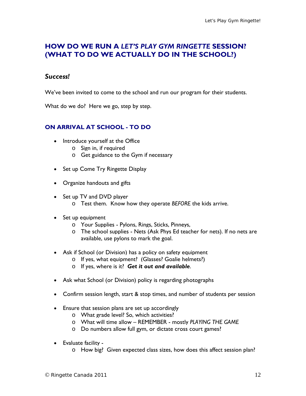# **HOW DO WE RUN A** *LET'S PLAY GYM RINGETTE* **SESSION? (WHAT TO DO WE ACTUALLY DO IN THE SCHOOL?)**

## *Success!*

We've been invited to come to the school and run our program for their students.

What do we do? Here we go, step by step.

## **ON ARRIVAL AT SCHOOL - TO DO**

- Introduce yourself at the Office
	- o Sign in, if required
	- o Get guidance to the Gym if necessary
- Set up Come Try Ringette Display
- Organize handouts and gifts
- Set up TV and DVD player o Test them. Know how they operate *BEFORE* the kids arrive.
- Set up equipment
	- o Your Supplies Pylons, Rings, Sticks, Pinneys,
	- o The school supplies Nets (Ask Phys Ed teacher for nets). If no nets are available, use pylons to mark the goal.
- Ask if School (or Division) has a policy on safety equipment
	- o If yes, what equipment? (Glasses? Goalie helmets?)
	- o If yes, where is it? *Get it out and available*.
- Ask what School (or Division) policy is regarding photographs
- Confirm session length, start & stop times, and number of students per session
- Ensure that session plans are set up accordingly
	- o What grade level? So, which activities?
	- o What will time allow REMEMBER mostly *PLAYING THE GAME*
	- o Do numbers allow full gym, or dictate cross court games?
- Evaluate facility
	- o How big? Given expected class sizes, how does this affect session plan?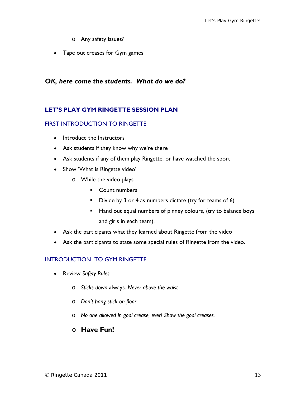- o Any safety issues?
- Tape out creases for Gym games

## *OK, here come the students. What do we do?*

#### **LET'S PLAY GYM RINGETTE SESSION PLAN**

#### FIRST INTRODUCTION TO RINGETTE

- Introduce the Instructors
- Ask students if they know why we're there
- Ask students if any of them play Ringette, or have watched the sport
- Show 'What is Ringette video'
	- o While the video plays
		- **Count numbers**
		- Divide by 3 or 4 as numbers dictate (try for teams of 6)
		- Hand out equal numbers of pinney colours, (try to balance boys and girls in each team).
- Ask the participants what they learned about Ringette from the video
- Ask the participants to state some special rules of Ringette from the video.

#### INTRODUCTION TO GYM RINGETTE

- Review *Safety Rules*
	- o *Sticks down* always. *Never above the waist*
	- o *Don't bang stick on floor*
	- o *No one allowed in goal crease, ever! Show the goal creases.*
	- o **Have Fun!**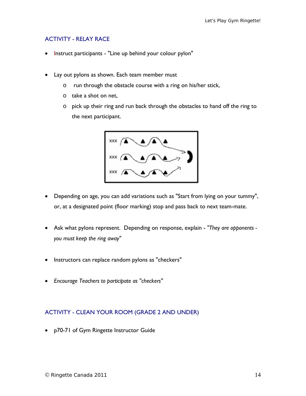#### ACTIVITY - RELAY RACE

- Instruct participants "Line up behind your colour pylon"
- Lay out pylons as shown. Each team member must
	- o run through the obstacle course with a ring on his/her stick,
	- o take a shot on net,
	- o pick up their ring and run back through the obstacles to hand off the ring to the next participant.



- Depending on age, you can add variations such as "Start from lying on your tummy", or, at a designated point (floor marking) stop and pass back to next team-mate.
- Ask what pylons represent. Depending on response, explain *"They are opponents you must keep the ring away"*
- Instructors can replace random pylons as "checkers"
- *Encourage Teachers to participate as "checkers"*

## ACTIVITY - CLEAN YOUR ROOM (GRADE 2 AND UNDER)

• p70-71 of Gym Ringette Instructor Guide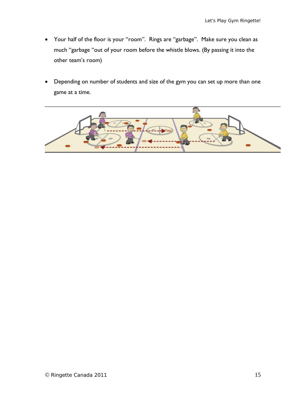- Your half of the floor is your "room". Rings are "garbage". Make sure you clean as much "garbage "out of your room before the whistle blows. (By passing it into the other team's room)
- Depending on number of students and size of the gym you can set up more than one game at a time.

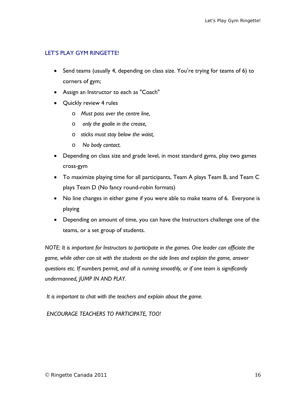#### LET'S PLAY GYM RINGETTE!

- Send teams (usually 4, depending on class size. You're trying for teams of 6) to corners of gym;
- Assign an Instructor to each as "Coach"
- Quickly review 4 rules
	- o *Must pass over the centre line,*
	- o *only the goalie in the crease,*
	- o *sticks must stay below the waist,*
	- o *No body contact.*
- Depending on class size and grade level, in most standard gyms, play two games cross-gym
- To maximize playing time for all participants, Team A plays Team B, and Team C plays Team D (No fancy round-robin formats)
- No line changes in either game if you were able to make teams of 6. Everyone is playing
- Depending on amount of time, you can have the Instructors challenge one of the teams, or a set group of students.

*NOTE: It is important for Instructors to participate in the games. One leader can officiate the game, while other can sit with the students on the side lines and explain the game, answer questions etc. If numbers permit, and all is running smoothly, or if one team is significantly undermanned, JUMP IN AND PLAY.* 

 *It is important to chat with the teachers and explain about the game.* 

 *ENCOURAGE TEACHERS TO PARTICIPATE, TOO!*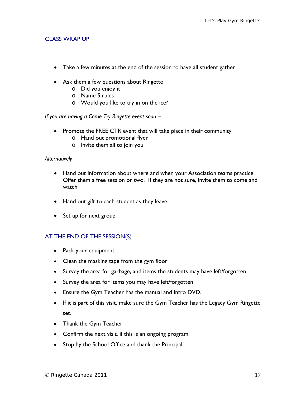#### CLASS WRAP UP

- Take a few minutes at the end of the session to have all student gather
- Ask them a few questions about Ringette
	- o Did you enjoy it
	- o Name 5 rules
	- o Would you like to try in on the ice?

*If you are having a Come Try Ringette event soon* –

- Promote the FREE CTR event that will take place in their community
	- o Hand out promotional flyer
	- o Invite them all to join you

#### *Alternatively –*

- Hand out information about where and when your Association teams practice. Offer them a free session or two. If they are not sure, invite them to come and watch
- Hand out gift to each student as they leave.
- Set up for next group

## AT THE END OF THE SESSION(S)

- Pack your equipment
- Clean the masking tape from the gym floor
- Survey the area for garbage, and items the students may have left/forgotten
- Survey the area for items you may have left/forgotten
- Ensure the Gym Teacher has the manual and Intro DVD.
- If it is part of this visit, make sure the Gym Teacher has the Legacy Gym Ringette set.
- Thank the Gym Teacher
- Confirm the next visit, if this is an ongoing program.
- Stop by the School Office and thank the Principal.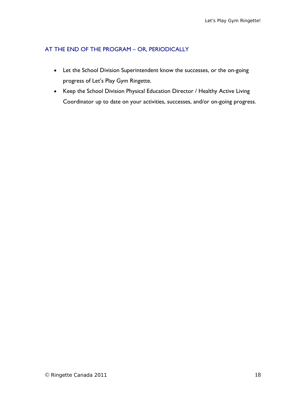## AT THE END OF THE PROGRAM – OR, PERIODICALLY

- Let the School Division Superintendent know the successes, or the on-going progress of Let's Play Gym Ringette.
- Keep the School Division Physical Education Director / Healthy Active Living Coordinator up to date on your activities, successes, and/or on-going progress.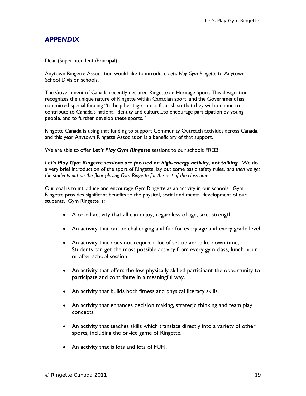# *APPENDIX*

Dear (Superintendent /Principal),

Anytown Ringette Association would like to introduce *Let's Play Gym Ringette* to Anytown School Division schools.

The Government of Canada recently declared Ringette an Heritage Sport. This designation recognizes the unique nature of Ringette within Canadian sport, and the Government has committed special funding "to help heritage sports flourish so that they will continue to contribute to Canada's national identity and culture...to encourage participation by young people, and to further develop these sports."

Ringette Canada is using that funding to support Community Outreach activities across Canada, and this year Anytown Ringette Association is a beneficiary of that support.

We are able to offer *Let's Play Gym Ringette* sessions to our schools FREE!

*Let's Play Gym Ringette sessions are focused on high-energy activity, not talking.* We do a very brief introduction of the sport of Ringette, lay out some basic safety rules, *and then we get the students out on the floor playing Gym Ringette for the rest of the class time.*

Our goal is to introduce and encourage Gym Ringette as an activity in our schools. Gym Ringette provides significant benefits to the physical, social and mental development of our students. Gym Ringette is:

- A co-ed activity that all can enjoy, regardless of age, size, strength.
- An activity that can be challenging and fun for every age and every grade level
- An activity that does not require a lot of set-up and take-down time, Students can get the most possible activity from every gym class, lunch hour or after school session.
- An activity that offers the less physically skilled participant the opportunity to participate and contribute in a meaningful way.
- An activity that builds both fitness and physical literacy skills.
- An activity that enhances decision making, strategic thinking and team play concepts
- An activity that teaches skills which translate directly into a variety of other sports, including the on-ice game of Ringette.
- An activity that is lots and lots of FUN.